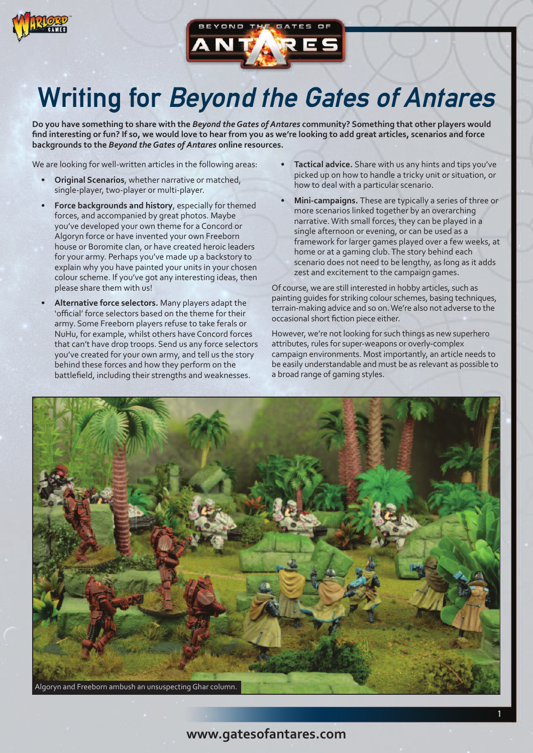



## Writing for Beyond the Gates of Antares

Do you have something to share with the Beyond the Gates of Antares community? Something that other players would find interesting or fun? If so, we would love to hear from you as we're looking to add great articles, scenarios and force **backgrounds to the** *Beyond theGates of Antares* **online resources.**

We are looking for well-written articles in the following areas:

- **Original Scenarios**, whether narrative or matched, single-player, two-player or multi-player.
- **Force backgrounds and history**, especially for themed forces, and accompanied by great photos. Maybe you've developed your own theme for a Concord or Algoryn force or have invented your own Freeborn house or Boromite clan, or have created heroic leaders for your army. Perhaps you've made up a backstory to explain why you have painted your units in your chosen colour scheme. If you've got any interesting ideas, then please share them with us!
- **Alternative force selectors.** Many players adapt the 'official' force selectors based on the theme for their army. Some Freeborn players refuse to take ferals or NuHu, for example, whilst others have Concord forces that can't have drop troops. Send us any force selectors you've created for your own army, and tell us the story behind these forces and how they perform on the battlefield, including their strengths and weaknesses.
- **Tactical advice.** Share with us any hints and tips you've picked up on how to handle a tricky unit or situation, or how to deal with a particular scenario.
- **Mini-campaigns.** These are typically a series of three or more scenarios linked together by an overarching narrative.With small forces, they can be played in a single afternoon or evening, or can be used as a framework for larger games played over a few weeks, at home or at a gaming club.The story behind each scenario does not need to be lengthy, as long as it adds zest and excitement to the campaign games.

Of course, we are still interested in hobby articles, such as painting guides for striking colour schemes, basing techniques, terrain-making advice and so on.We're also not adverse to the occasional short fiction piece either.

However, we're not looking for such things as new superhero attributes, rules for super-weapons or overly-complex campaign environments. Most importantly, an article needs to be easily understandable and must be as relevant as possible to a broad range of gaming styles.